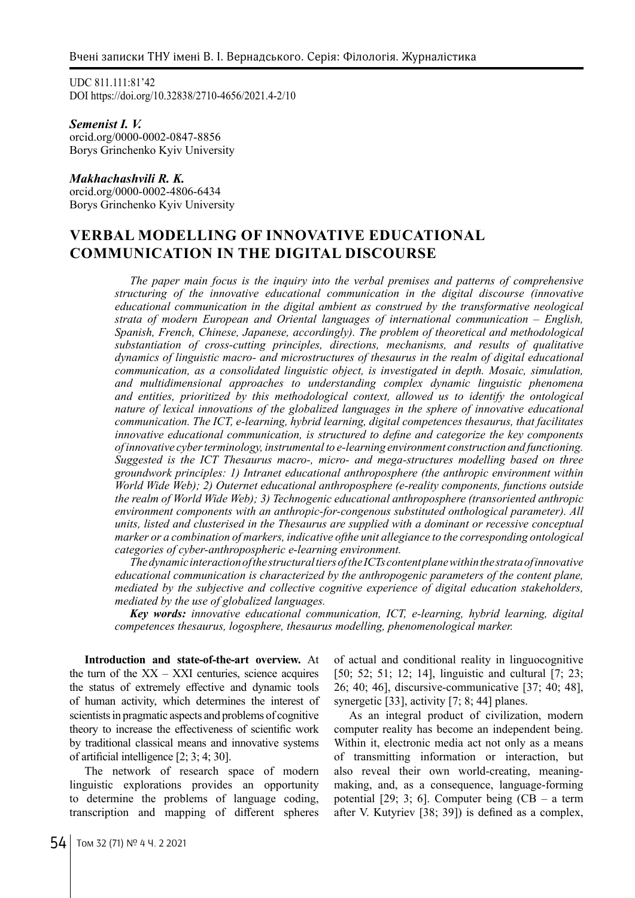UDC 811.111:81'42 DOI https://doi.org/10.32838/2710-4656/2021.4-2/10

*Semenist I. V.* orcid.org/0000-0002-0847-8856 Borys Grinchenko Kyiv University

### *Makhachashvili R. K.*

orcid.org/0000-0002-4806-6434 Borys Grinchenko Kyiv University

# **VERBAL MODELLING OF INNOVATIVE EDUCATIONAL COMMUNICATION IN THE DIGITAL DISCOURSE**

*The paper main focus is the inquiry into the verbal premises and patterns of comprehensive structuring of the innovative educational communication in the digital discourse (innovative educational communication in the digital ambient as construed by the transformative neological strata of modern European and Oriental languages of international communication – English, Spanish, French, Chinese, Japanese, accordingly). The problem of theoretical and methodological substantiation of cross-cutting principles, directions, mechanisms, and results of qualitative dynamics of linguistic macro- and microstructures of thesaurus in the realm of digital educational communication, as a consolidated linguistic object, is investigated in depth. Mosaic, simulation, and multidimensional approaches to understanding complex dynamic linguistic phenomena and entities, prioritized by this methodological context, allowed us to identify the ontological nature of lexical innovations of the globalized languages in the sphere of innovative educational communication. The ICT, e-learning, hybrid learning, digital competences thesaurus, that facilitates innovative educational communication, is structured to define and categorize the key components of innovative cyber terminology, instrumental to e-learning environment construction and functioning. Suggested is the ICT Thesaurus macro-, micro- and mega-structures modelling based on three groundwork principles: 1) Intranet educational anthroposphere (the anthropic environment within World Wide Web); 2) Outernet educational anthroposphere (e-reality components, functions outside the realm of World Wide Web); 3) Technogenic educational anthroposphere (transoriented anthropic environment components with an anthropic-for-congenous substituted onthological parameter). All units, listed and clusterised in the Thesaurus are supplied with a dominant or recessive conceptual marker or a combination of markers, indicative ofthe unit allegiance to the corresponding ontological categories of cyber-anthropospheric e-learning environment.*

*The dynamic interaction of the structural tiers of the ICTs content plane within the strata of innovative educational communication is characterized by the anthropogenic parameters of the content plane, mediated by the subjective and collective cognitive experience of digital education stakeholders, mediated by the use of globalized languages.*

*Key words: innovative educational communication, ICT, e-learning, hybrid learning, digital competences thesaurus, logosphere, thesaurus modelling, phenomenological marker.*

**Introduction and state-of-the-art overview.** At the turn of the  $XX - XXI$  centuries, science acquires the status of extremely effective and dynamic tools of human activity, which determines the interest of scientists in pragmatic aspects and problems of cognitive theory to increase the effectiveness of scientific work by traditional classical means and innovative systems of artificial intelligence [2; 3; 4; 30].

The network of research space of modern linguistic explorations provides an opportunity to determine the problems of language coding, transcription and mapping of different spheres

of actual and conditional reality in linguocognitive [50; 52; 51; 12; 14], linguistic and cultural [7; 23; 26; 40; 46], discursive-communicative [37; 40; 48], synergetic [33], activity [7; 8; 44] planes.

As an integral product of civilization, modern computer reality has become an independent being. Within it, electronic media act not only as a means of transmitting information or interaction, but also reveal their own world-creating, meaningmaking, and, as a consequence, language-forming potential  $[29; 3; 6]$ . Computer being  $(CB - a$  term after V. Kutyriev [38; 39]) is defined as a complex,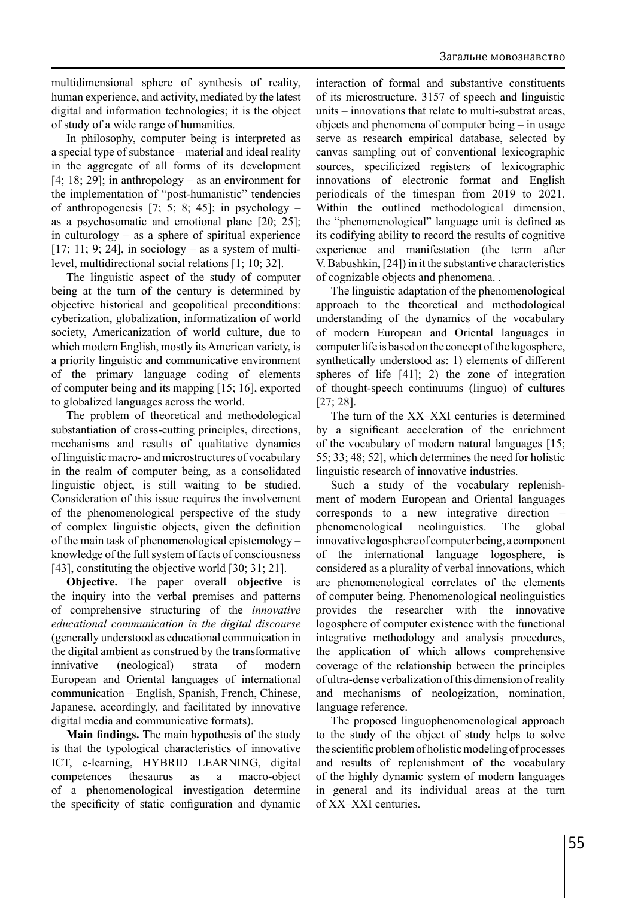multidimensional sphere of synthesis of reality, human experience, and activity, mediated by the latest digital and information technologies; it is the object of study of a wide range of humanities.

In philosophy, computer being is interpreted as a special type of substance – material and ideal reality in the aggregate of all forms of its development  $[4; 18; 29]$ ; in anthropology – as an environment for the implementation of "post-humanistic" tendencies of anthropogenesis [7; 5; 8; 45]; in psychology – as a psychosomatic and emotional plane [20; 25]; in culturology – as a sphere of spiritual experience  $[17; 11; 9; 24]$ , in sociology – as a system of multilevel, multidirectional social relations [1; 10; 32].

The linguistic aspect of the study of computer being at the turn of the century is determined by objective historical and geopolitical preconditions: cyberization, globalization, informatization of world society, Americanization of world culture, due to which modern English, mostly its American variety, is a priority linguistic and communicative environment of the primary language coding of elements of computer being and its mapping [15; 16], exported to globalized languages across the world.

The problem of theoretical and methodological substantiation of cross-cutting principles, directions, mechanisms and results of qualitative dynamics of linguistic macro- and microstructures of vocabulary in the realm of computer being, as a consolidated linguistic object, is still waiting to be studied. Consideration of this issue requires the involvement of the phenomenological perspective of the study of complex linguistic objects, given the definition of the main task of phenomenological epistemology – knowledge of the full system of facts of consciousness [43], constituting the objective world [30; 31; 21].

**Objective.** The paper overall **objective** is the inquiry into the verbal premises and patterns of comprehensive structuring of the *innovative educational communication in the digital discourse* (generally understood as educational commuication in the digital ambient as construed by the transformative innivative (neological) strata of modern European and Oriental languages of international communication – English, Spanish, French, Chinese, Japanese, accordingly, and facilitated by innovative digital media and communicative formats).

**Main findings.** The main hypothesis of the study is that the typological characteristics of innovative ICT, e-learning, HYBRID LEARNING, digital competences thesaurus as a macro-object of a phenomenological investigation determine the specificity of static configuration and dynamic interaction of formal and substantive constituents of its microstructure. 3157 of speech and linguistic units – innovations that relate to multi-substrat areas, objects and phenomena of computer being – in usage serve as research empirical database, selected by canvas sampling out of conventional lexicographic sources, specificized registers of lexicographic innovations of electronic format and English periodicals of the timespan from 2019 to 2021. Within the outlined methodological dimension, the "phenomenological" language unit is defined as its codifying ability to record the results of cognitive experience and manifestation (the term after V. Babushkin, [24]) in it the substantive characteristics of cognizable objects and phenomena. .

The linguistic adaptation of the phenomenological approach to the theoretical and methodological understanding of the dynamics of the vocabulary of modern European and Oriental languages in computer life is based on the concept of the logosphere, synthetically understood as: 1) elements of different spheres of life [41]; 2) the zone of integration of thought-speech continuums (linguo) of cultures [27; 28].

The turn of the XX–XXI centuries is determined by a significant acceleration of the enrichment of the vocabulary of modern natural languages [15; 55; 33; 48; 52], which determines the need for holistic linguistic research of innovative industries.

Such a study of the vocabulary replenishment of modern European and Oriental languages corresponds to a new integrative direction – phenomenological neolinguistics. The global innovative logosphere of computer being, a component of the international language logosphere, is considered as a plurality of verbal innovations, which are phenomenological correlates of the elements of computer being. Phenomenological neolinguistics provides the researcher with the innovative logosphere of computer existence with the functional integrative methodology and analysis procedures, the application of which allows comprehensive coverage of the relationship between the principles of ultra-dense verbalization of this dimension of reality and mechanisms of neologization, nomination, language reference.

The proposed linguophenomenological approach to the study of the object of study helps to solve the scientific problem of holistic modeling of processes and results of replenishment of the vocabulary of the highly dynamic system of modern languages in general and its individual areas at the turn of XX–XXI centuries.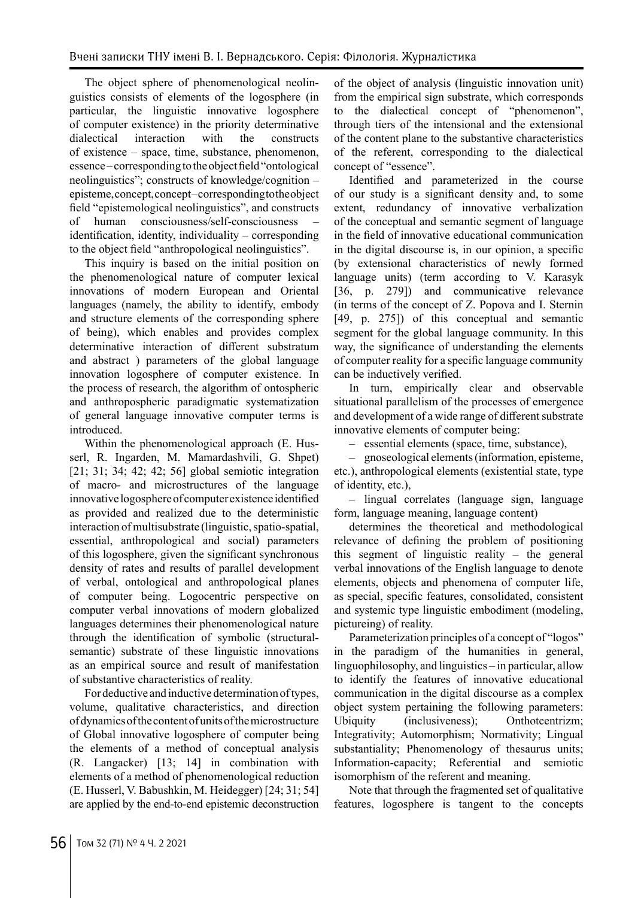The object sphere of phenomenological neolinguistics consists of elements of the logosphere (in particular, the linguistic innovative logosphere of computer existence) in the priority determinative dialectical interaction with the constructs of existence – space, time, substance, phenomenon, essence – corresponding to the object field "ontological neolinguistics"; constructs of knowledge/cognition – episteme, concept, concept – corresponding to the object field "epistemological neolinguistics", and constructs of human consciousness/self-consciousness – identification, identity, individuality – corresponding to the object field "anthropological neolinguistics".

This inquiry is based on the initial position on the phenomenological nature of computer lexical innovations of modern European and Oriental languages (namely, the ability to identify, embody and structure elements of the corresponding sphere of being), which enables and provides complex determinative interaction of different substratum and abstract ) parameters of the global language innovation logosphere of computer existence. In the process of research, the algorithm of ontospheric and anthropospheric paradigmatic systematization of general language innovative computer terms is introduced.

Within the phenomenological approach (E. Husserl, R. Ingarden, M. Mamardashvili, G. Shpet) [21; 31; 34; 42; 42; 56] global semiotic integration of macro- and microstructures of the language innovative logosphere of computer existence identified as provided and realized due to the deterministic interaction of multisubstrate (linguistic, spatio-spatial, essential, anthropological and social) parameters of this logosphere, given the significant synchronous density of rates and results of parallel development of verbal, ontological and anthropological planes of computer being. Logocentric perspective on computer verbal innovations of modern globalized languages determines their phenomenological nature through the identification of symbolic (structuralsemantic) substrate of these linguistic innovations as an empirical source and result of manifestation of substantive characteristics of reality.

For deductive and inductive determination of types, volume, qualitative characteristics, and direction of dynamics of the content of units of the microstructure of Global innovative logosphere of computer being the elements of a method of conceptual analysis (R. Langacker) [13; 14] in combination with elements of a method of phenomenological reduction (E. Husserl, V. Babushkin, M. Heidegger) [24; 31; 54] are applied by the end-to-end epistemic deconstruction

of the object of analysis (linguistic innovation unit) from the empirical sign substrate, which corresponds to the dialectical concept of "phenomenon", through tiers of the intensional and the extensional of the content plane to the substantive characteristics of the referent, corresponding to the dialectical concept of "essence".

Identified and parameterized in the course of our study is a significant density and, to some extent, redundancy of innovative verbalization of the conceptual and semantic segment of language in the field of innovative educational communication in the digital discourse is, in our opinion, a specific (by extensional characteristics of newly formed language units) (term according to V. Karasyk [36, p. 279]) and communicative relevance (in terms of the concept of Z. Popova and I. Sternin [49, p. 275]) of this conceptual and semantic segment for the global language community. In this way, the significance of understanding the elements of computer reality for a specific language community can be inductively verified.

In turn, empirically clear and observable situational parallelism of the processes of emergence and development of a wide range of different substrate innovative elements of computer being:

– essential elements (space, time, substance),

– gnoseological elements (information, episteme, etc.), anthropological elements (existential state, type of identity, etc.),

– lingual correlates (language sign, language form, language meaning, language content)

determines the theoretical and methodological relevance of defining the problem of positioning this segment of linguistic reality – the general verbal innovations of the English language to denote elements, objects and phenomena of computer life, as special, specific features, consolidated, consistent and systemic type linguistic embodiment (modeling, pictureing) of reality.

Parameterization principles of a concept of "logos" in the paradigm of the humanities in general, linguophilosophy, and linguistics – in particular, allow to identify the features of innovative educational communication in the digital discourse as a complex object system pertaining the following parameters: Ubiquity (inclusiveness); Onthotcentrizm; Integrativity; Automorphism; Normativity; Lingual substantiality; Phenomenology of thesaurus units; Information-capacity; Referential and semiotic isomorphism of the referent and meaning.

Note that through the fragmented set of qualitative features, logosphere is tangent to the concepts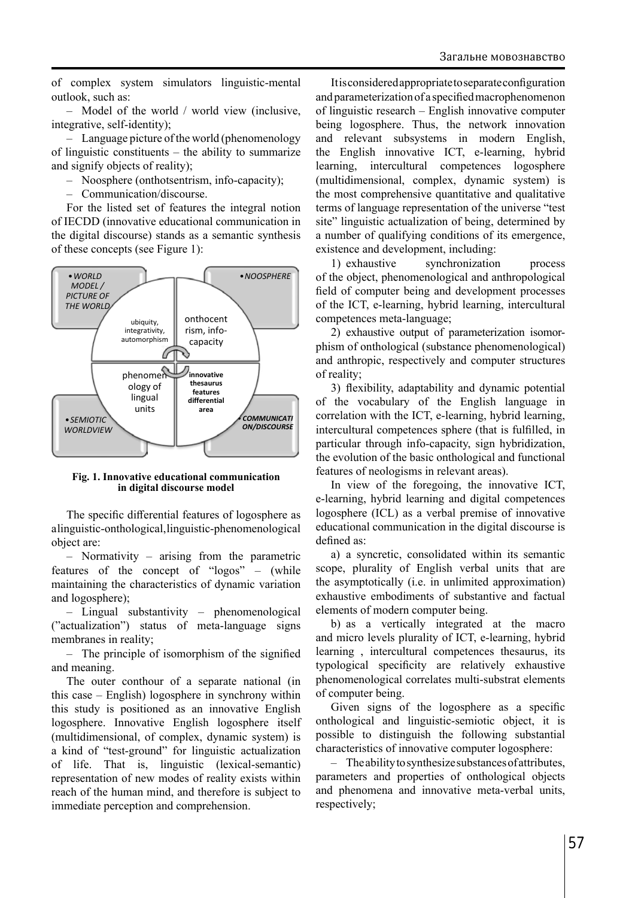of complex system simulators linguistic-mental outlook, such as:

– Model of the world / world view (inclusive, integrative, self-identity);

– Language picture of the world (phenomenology of linguistic constituents – the ability to summarize and signify objects of reality);

– Noosphere (onthotsentrism, info-capacity);

– Communication/discourse.

For the listed set of features the integral notion of IECDD (innovative educational communication in the digital discourse) stands as a semantic synthesis of these concepts (see Figure 1):



**Fig. 1. Innovative educational communication in digital discourse model**

The specific differential features of logosphere as a linguistic-onthological, linguistic-phenomenological object are:

– Normativity – arising from the parametric features of the concept of "logos" – (while maintaining the characteristics of dynamic variation and logosphere);

– Lingual substantivity – phenomenological ("actualization") status of meta-language signs membranes in reality;

– The principle of isomorphism of the signified and meaning.

The outer conthour of a separate national (in this case – English) logosphere in synchrony within this study is positioned as an innovative English logosphere. Innovative English logosphere itself (multidimensional, of complex, dynamic system) is a kind of "test-ground" for linguistic actualization of life. That is, linguistic (lexical-semantic) representation of new modes of reality exists within reach of the human mind, and therefore is subject to immediate perception and comprehension.

It is considered appropriate to separate configuration and parameterization of a specified macrophenomenon of linguistic research – English innovative computer being logosphere. Thus, the network innovation and relevant subsystems in modern English, the English innovative ICT, e-learning, hybrid learning, intercultural competences logosphere (multidimensional, complex, dynamic system) is the most comprehensive quantitative and qualitative terms of language representation of the universe "test site" linguistic actualization of being, determined by a number of qualifying conditions of its emergence, existence and development, including:

1) exhaustive synchronization process of the object, phenomenological and anthropological field of computer being and development processes of the ICT, e-learning, hybrid learning, intercultural competences meta-language;

2) exhaustive output of parameterization isomorphism of onthological (substance phenomenological) and anthropic, respectively and computer structures of reality;

3) flexibility, adaptability and dynamic potential of the vocabulary of the English language in correlation with the ICT, e-learning, hybrid learning, intercultural competences sphere (that is fulfilled, in particular through info-capacity, sign hybridization, the evolution of the basic onthological and functional features of neologisms in relevant areas).

In view of the foregoing, the innovative ICT, e-learning, hybrid learning and digital competences logosphere (ICL) as a verbal premise of innovative educational communication in the digital discourse is defined as:

a) a syncretic, consolidated within its semantic scope, plurality of English verbal units that are the asymptotically (i.e. in unlimited approximation) exhaustive embodiments of substantive and factual elements of modern computer being.

b) as a vertically integrated at the macro and micro levels plurality of ICT, e-learning, hybrid learning , intercultural competences thesaurus, its typological specificity are relatively exhaustive phenomenological correlates multi-substrat elements of computer being.

Given signs of the logosphere as a specific onthological and linguistic-semiotic object, it is possible to distinguish the following substantial characteristics of innovative computer logosphere:

– The ability to synthesize substances of attributes, parameters and properties of onthological objects and phenomena and innovative meta-verbal units, respectively;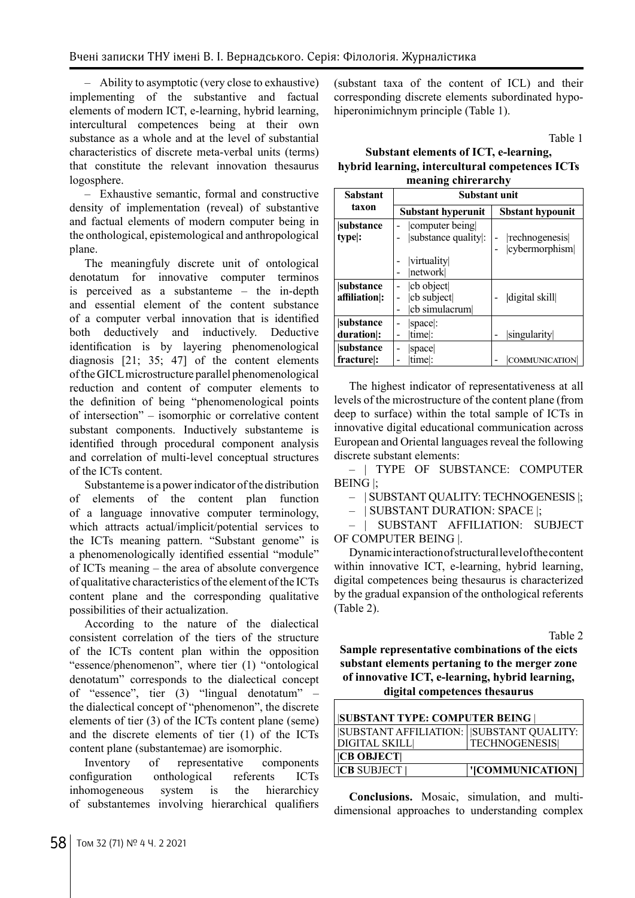– Ability to asymptotic (very close to exhaustive) implementing of the substantive and factual elements of modern ICT, e-learning, hybrid learning, intercultural competences being at their own substance as a whole and at the level of substantial characteristics of discrete meta-verbal units (terms) that constitute the relevant innovation thesaurus logosphere.

– Exhaustive semantic, formal and constructive density of implementation (reveal) of substantive and factual elements of modern computer being in the onthological, epistemological and anthropological plane.

The meaningfuly discrete unit of ontological denotatum for innovative computer terminos is perceived as a substanteme – the in-depth and essential element of the content substance of a computer verbal innovation that is identified both deductively and inductively. Deductive identification is by layering phenomenological diagnosis [21; 35; 47] of the content elements of the GICL microstructure parallel phenomenological reduction and content of computer elements to the definition of being "phenomenological points of intersection" – isomorphic or correlative content substant components. Inductively substanteme is identified through procedural component analysis and correlation of multi-level conceptual structures of the ICTs content.

Substanteme is a power indicator of the distribution of elements of the content plan function of a language innovative computer terminology, which attracts actual/implicit/potential services to the ICTs meaning pattern. "Substant genome" is a phenomenologically identified essential "module" of ICTs meaning – the area of absolute convergence of qualitative characteristics of the element of the ICTs content plane and the corresponding qualitative possibilities of their actualization.

According to the nature of the dialectical consistent correlation of the tiers of the structure of the ICTs content plan within the opposition "essence/phenomenon", where tier (1) "ontological denotatum" corresponds to the dialectical concept of "essence", tier (3) "lingual denotatum" – the dialectical concept of "phenomenon", the discrete elements of tier (3) of the ICTs content plane (seme) and the discrete elements of tier (1) of the ICTs content plane (substantemae) are isomorphic.

Inventory of representative components configuration onthological referents ICTs inhomogeneous system is the hierarchicy of substantemes involving hierarchical qualifiers (substant taxa of the content of ICL) and their corresponding discrete elements subordinated hypohiperonimichnym principle (Table 1).

Table 1

**Substant elements of ICT, e-learning, hybrid learning, intercultural competences ICTs meaning chirerarchy**

| <b>Sabstant</b>            | Substant unit                                 |                                 |
|----------------------------|-----------------------------------------------|---------------------------------|
| taxon                      | <b>Substant hyperunit</b>                     | <b>Sbstant hypounit</b>         |
| substance<br>type :        | computer being<br>substance quality:          | rechnogenesis <br>cybermorphism |
|                            | virtuality<br>network                         |                                 |
| substance<br>affiliation : | cb object<br>cb subject<br>cb simulacrum<br>۰ | digital skill                   |
| substance<br>duration :    | space:<br>time:                               | singularity                     |
| substance<br>fracture:     | space<br>۰<br>time :                          | COMMUNICATION                   |

The highest indicator of representativeness at all levels of the microstructure of the content plane (from deep to surface) within the total sample of ICTs in innovative digital educational communication across European and Oriental languages reveal the following discrete substant elements:

– | TYPE OF SUBSTANCE: COMPUTER BEING |;

– | SUBSTANT QUALITY: TECHNOGENESIS |;

– | SUBSTANT DURATION: SPACE |;

– | SUBSTANT AFFILIATION: SUBJECT OF COMPUTER BEING |.

Dynamic interaction of structural level of the content within innovative ICT, e-learning, hybrid learning, digital competences being thesaurus is characterized by the gradual expansion of the onthological referents (Table 2).

Table 2

**Sample representative combinations of the eicts substant elements pertaning to the merger zone of innovative ICT, e-learning, hybrid learning, digital competences thesaurus**

| <b>SUBSTANT TYPE: COMPUTER BEING</b>      |                      |  |  |
|-------------------------------------------|----------------------|--|--|
| SUBSTANT AFFILIATION:   SUBSTANT QUALITY: |                      |  |  |
| DIGITAL SKILL                             | <b>TECHNOGENESIS</b> |  |  |
| CB OBJECT                                 |                      |  |  |
| <b>ICB SUBJECT I</b>                      | '[COMMUNICATION]     |  |  |

**Conclusions.** Mosaic, simulation, and multidimensional approaches to understanding complex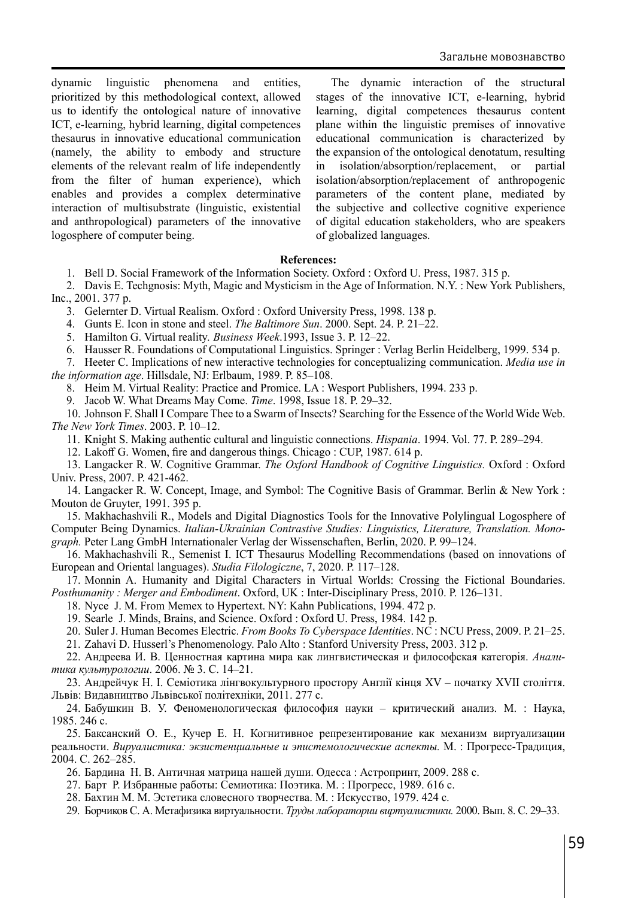dynamic linguistic phenomena and entities, prioritized by this methodological context, allowed us to identify the ontological nature of innovative ICT, e-learning, hybrid learning, digital competences thesaurus in innovative educational communication (namely, the ability to embody and structure elements of the relevant realm of life independently from the filter of human experience), which enables and provides a complex determinative interaction of multisubstrate (linguistic, existential and anthropological) parameters of the innovative logosphere of computer being.

The dynamic interaction of the structural stages of the innovative ICT, e-learning, hybrid learning, digital competences thesaurus content plane within the linguistic premises of innovative educational communication is characterized by the expansion of the ontological denotatum, resulting in isolation/absorption/replacement, or partial isolation/absorption/replacement of anthropogenic parameters of the content plane, mediated by the subjective and collective cognitive experience of digital education stakeholders, who are speakers of globalized languages.

#### **References:**

1. Bell D. Social Framework of the Information Society. Oxford : Oxford U. Press, 1987. 315 p.

2. Davis E. Techgnosis: Myth, Magic and Mysticism in the Age of Information. N.Y. : New York Publishers, Inc., 2001. 377 p.

3. Gelernter D. Virtual Realism. Oxford : Oxford University Press, 1998. 138 p.

4. Gunts E. Icon in stone and steel. *The Baltimore Sun*. 2000. Sept. 24. Р. 21–22.

5. Hamilton G. Virtual reality*. Business Week*.1993, Issue 3. Р. 12–22.

6. Hausser R. Foundations of Computational Linguistics. Springer : Verlag Berlin Heidelberg, 1999. 534 p.

7. Heeter C. Implications of new interactive technologies for conceptualizing communication. *Media use in the information age*. Hillsdale, NJ: Erlbaum, 1989. Р. 85–108.

8. Heim M. Virtual Reality: Practice and Promice. LA : Wesport Publishers, 1994. 233 p.

9. Jacob W. What Dreams May Come. *Time*. 1998, Issue 18. Р. 29–32.

10. Johnson F. Shall I Compare Thee to a Swarm of Insects? Searching for the Essence of the World Wide Web. *The New York Times*. 2003. Р. 10–12.

11. Knight S. Making authentic cultural and linguistic connections. *Hispania*. 1994. Vol. 77. Р. 289–294.

12. Lakoff G. Women, fire and dangerous things. Chicago : CUP, 1987. 614 p.

13. Langacker R. W. Cognitive Grammar. *The Oxford Handbook of Cognitive Linguistics.* Oxford : Oxford Univ. Press, 2007. Р. 421-462.

14. Langacker R. W. Concept, Image, and Symbol: The Cognitive Basis of Grammar. Berlin & New York : Mouton de Gruyter, 1991. 395 p.

15. Makhachashvili R., Models and Digital Diagnostics Tools for the Innovative Polylingual Logosphere of Computer Being Dynamics. *Italian-Ukrainian Contrastive Studies: Linguistics, Literature, Translation. Monograph.* Peter Lang GmbH Internationaler Verlag der Wissenschaften, Berlin, 2020. Р. 99–124.

16. Makhachashvili R., Semenist I. ICT Thesaurus Modelling Recommendations (based on innovations of European and Oriental languages). *Studia Filologiczne*, 7, 2020. Р. 117–128.

17. Monnin A. Humanity and Digital Characters in Virtual Worlds: Crossing the Fictional Boundaries. *Posthumanity : Merger and Embodiment*. Oxford, UK : Inter-Disciplinary Press, 2010. Р. 126–131.

18. Nyce J. M. From Memex to Hypertext. NY: Kahn Publications, 1994. 472 p.

19. Searle J. Minds, Brains, and Science. Oxford : Oxford U. Press, 1984. 142 p.

20. Suler J. Human Becomes Electric. *From Books To Cyberspace Identities*. NC : NCU Press, 2009. Р. 21–25.

21. Zahavi D. Husserl's Phenomenology. Palo Alto : Stanford University Press, 2003. 312 р.

22. Андреева И. В. Ценностная картина мира как лингвистическая и философская категорія. *Аналитика культурологии*. 2006. № 3. С. 14–21.

23. Андрейчук Н. І. Семіотика лінгвокультурного простору Англії кінця XV – початку XVII століття. Львів: Видавництво Львівської політехніки, 2011. 277 с.

24. Бабушкин В. У. Феноменологическая философия науки – критический анализ. М. : Наука, 1985. 246 с.

25. Баксанский О. Е., Кучер Е. Н. Когнитивное репрезентирование как механизм виртуализации реальности. *Вируалистика: экзистенциальные и эпистемологические аспекты.* М. : Прогресс-Традиция, 2004. С. 262–285.

26. Бардина Н. В. Античная матрица нашей души. Одесса : Астропринт, 2009. 288 с.

27. Барт Р. Избранные работы: Семиотика: Поэтика. М. : Прогресс, 1989. 616 с.

28. Бахтин М. М. Эстетика словесного творчества. М. : Искусство, 1979. 424 с.

29. Борчиков С. А. Метафизика виртуальности. *Труды лаборатории виртуалистики.* 2000. Вып. 8. С. 29–33.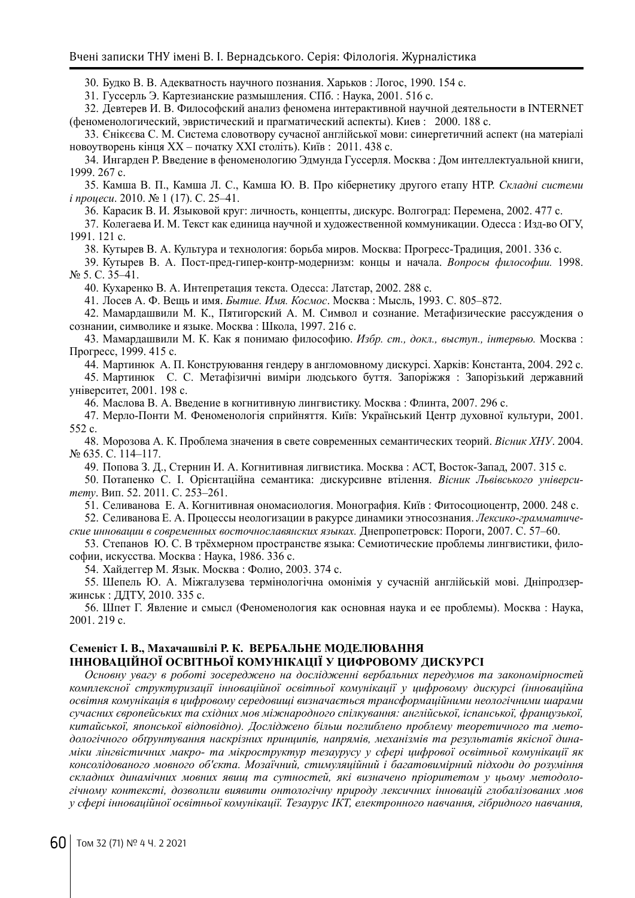30. Будко В. В. Адекватность научного познания. Харьков : Логос, 1990. 154 с.

31. Гуссерль Э. Картезианские размышления. СПб. : Наука, 2001. 516 с.

32. Девтерев И. В. Философский анализ феномена интерактивной научной деятельности в INTERNET (феноменологический, эвристический и прагматический аспекты). Киев : 2000. 188 с.

33. Єнікєєва С. М. Система словотвору сучасної англійської мови: синергетичний аспект (на матеріалі новоутворень кінця ХХ – початку ХХІ століть). Київ : 2011. 438 с.

34. Ингарден Р. Введение в феноменологию Эдмунда Гуссерля. Москва : Дом интеллектуальной книги, 1999. 267 c.

35. Камша В. П., Камша Л. С., Камша Ю. В. Про кібернетику другого етапу НТР. *Складні системи і процеси*. 2010. № 1 (17). С. 25–41.

36. Карасик В. И. Языковой круг: личность, концепты, дискурс. Волгоград: Перемена, 2002. 477 с.

37. Колегаева И. М. Текст как единица научной и художественной коммуникации. Одесса : Изд-во ОГУ, 1991. 121 с.

38. Кутырев В. А. Культура и технология: борьба миров. Москва: Прогресс-Традиция, 2001. 336 с.

39. Кутырев В. А. Пост-пред-гипер-контр-модернизм: концы и начала. *Вопросы философии.* 1998. № 5. C. 35–41.

40. Кухаренко В. А. Интепретация текста. Одесса: Латстар, 2002. 288 с.

41. Лосев А. Ф. Вещь и имя. *Бытие. Имя. Космос*. Москва : Мысль, 1993. С. 805–872.

42. Мамардашвили М. К., Пятигорский А. М. Символ и сознание. Метафизические рассуждения о сознании, символике и языке. Москва : Школа, 1997. 216 с.

43. Мамардашвили М. К. Как я понимаю философию. *Избр. ст., докл., выступ., інтервью.* Москва : Прогресс, 1999. 415 с.

44. Мартинюк А. П. Конструювання гендеру в англомовному дискурсі. Харків: Константа, 2004. 292 с.

45. Мартинюк С. С. Метафізичні виміри людського буття. Запоріжжя : Запорізький державний університет, 2001. 198 с.

46. Маслова В. А. Введение в когнитивную лингвистику. Москва : Флинта, 2007. 296 с.

47. Мерло-Понти М. Феноменологія сприйняття. Київ: Український Центр духовної культури, 2001. 552 с.

48. Морозова А. К. Проблема значения в свете современных семантических теорий. *Вісник ХНУ*. 2004. № 635. С. 114–117.

49. Попова З. Д., Стернин И. А. Когнитивная лигвистика. Москва : АСТ, Восток-Запад, 2007. 315 c.

50. Потапенко С. І. Орієнтаційна семантика: дискурсивне втілення. *Вісник Львівського університету*. Вип. 52. 2011. С. 253–261.

51. Селиванова Е. А. Когнитивная ономасиология. Монография. Київ : Фитосоциоцентр, 2000. 248 с.

52. Селиванова Е. А. Процессы неологизации в ракурсе динамики этносознания. *Лексико-грамматические инновации в современных восточнославянских языках.* Днепропетровск: Пороги, 2007. С. 57–60.

53. Степанов Ю. С. В трёхмерном пространстве языка: Семиотические проблемы лингвистики, философии, искусства. Москва : Наука, 1986. 336 с.

54. Хайдеггер М. Язык. Москва : Фолио, 2003. 374 с.

55. Шепель Ю. А. Міжгалузева термінологічна омонімія у сучасній англійській мові. Дніпродзержинськ : ДДТУ, 2010. 335 с.

56. Шпет Г. Явление и смысл (Феноменология как основная наука и ее проблемы). Москва : Наука, 2001. 219 с.

# **Семеніст І. В., Махачашвілі Р. К. ВЕРБАЛЬНЕ МОДЕЛЮВАННЯ**

### **ІННОВАЦІЙНОЇ ОСВІТНЬОЇ КОМУНІКАЦІЇ У ЦИФРОВОМУ ДИСКУРСІ**

*Основну увагу в роботі зосереджено на дослідженні вербальних передумов та закономірностей комплексної структуризації інноваційної освітньої комунікації у цифровому дискурсі (інноваційна освітня комунікація в цифровому середовищі визначається трансформаційними неологічними шарами сучасних європейських та східних мов міжнародного спілкування: англійської, іспанської, французької, китайської, японської відповідно). Досліджено більш поглиблено проблему теоретичного та методологічного обґрунтування наскрізних принципів, напрямів, механізмів та результатів якісної динаміки лінгвістичних макро- та мікроструктур тезаурусу у сфері цифрової освітньої комунікації як консолідованого мовного об'єкта. Мозаїчний, стимуляційний і багатовимірний підходи до розуміння складних динамічних мовних явищ та сутностей, які визначено пріоритетом у цьому методологічному контексті, дозволили виявити онтологічну природу лексичних інновацій глобалізованих мов у сфері інноваційної освітньої комунікації. Тезаурус ІКТ, електронного навчання, гібридного навчання,*